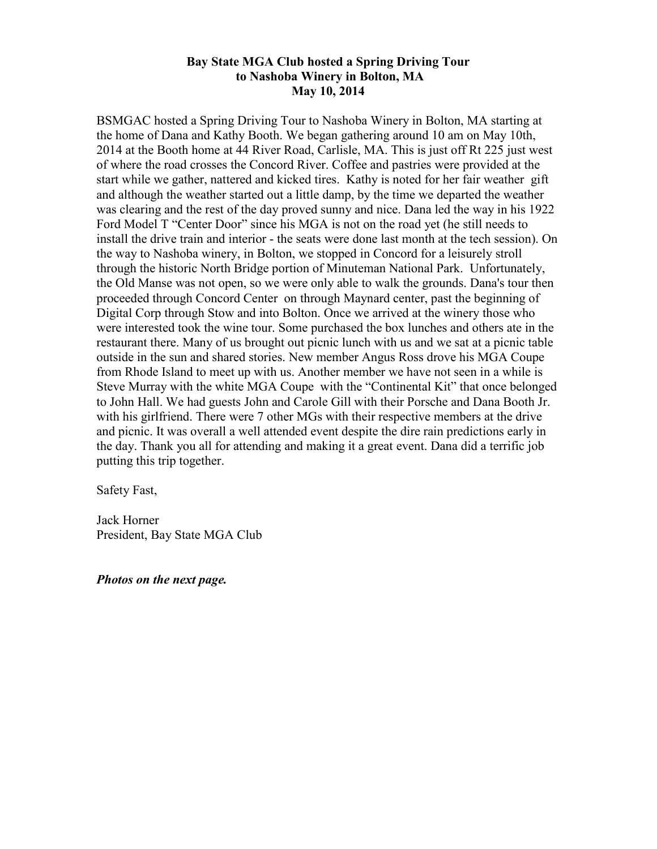## **Bay State MGA Club hosted a Spring Driving Tour to Nashoba Winery in Bolton, MA May 10, 2014**

BSMGAC hosted a Spring Driving Tour to Nashoba Winery in Bolton, MA starting at the home of Dana and Kathy Booth. We began gathering around 10 am on May 10th, 2014 at the Booth home at 44 River Road, Carlisle, MA. This is just off Rt 225 just west of where the road crosses the Concord River. Coffee and pastries were provided at the start while we gather, nattered and kicked tires. Kathy is noted for her fair weather gift and although the weather started out a little damp, by the time we departed the weather was clearing and the rest of the day proved sunny and nice. Dana led the way in his 1922 Ford Model T "Center Door" since his MGA is not on the road yet (he still needs to install the drive train and interior - the seats were done last month at the tech session). On the way to Nashoba winery, in Bolton, we stopped in Concord for a leisurely stroll through the historic North Bridge portion of Minuteman National Park. Unfortunately, the Old Manse was not open, so we were only able to walk the grounds. Dana's tour then proceeded through Concord Center on through Maynard center, past the beginning of Digital Corp through Stow and into Bolton. Once we arrived at the winery those who were interested took the wine tour. Some purchased the box lunches and others ate in the restaurant there. Many of us brought out picnic lunch with us and we sat at a picnic table outside in the sun and shared stories. New member Angus Ross drove his MGA Coupe from Rhode Island to meet up with us. Another member we have not seen in a while is Steve Murray with the white MGA Coupe with the "Continental Kit" that once belonged to John Hall. We had guests John and Carole Gill with their Porsche and Dana Booth Jr. with his girlfriend. There were 7 other MGs with their respective members at the drive and picnic. It was overall a well attended event despite the dire rain predictions early in the day. Thank you all for attending and making it a great event. Dana did a terrific job putting this trip together.

Safety Fast,

Jack Horner President, Bay State MGA Club

*Photos on the next page.*